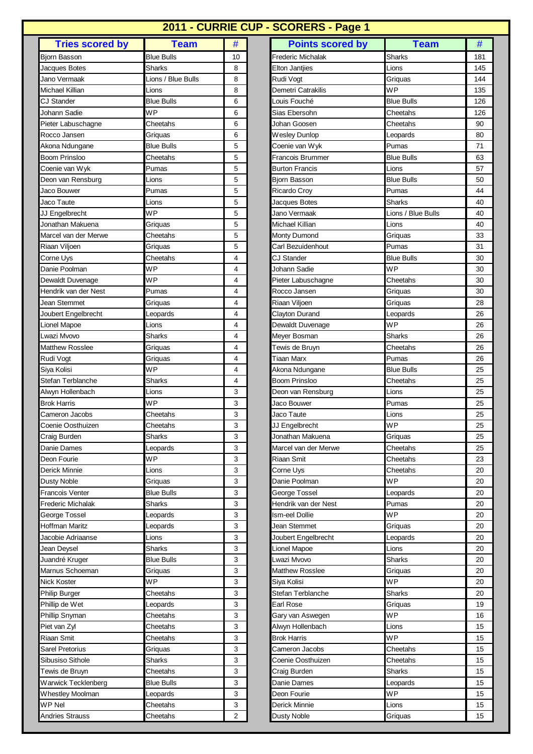## **2011 - CURRIE CUP - SCORERS - Page 1**

| <b>Tries scored by</b>                 | <b>Team</b>                | #              |
|----------------------------------------|----------------------------|----------------|
|                                        | <b>Blue Bulls</b>          | 10             |
| Bjorn Basson                           | Sharks                     |                |
| Jacques Botes<br>Jano Vermaak          | Lions / Blue Bulls         | 8<br>8         |
| Michael Killian                        |                            |                |
| CJ Stander                             | Lions<br><b>Blue Bulls</b> | 8<br>6         |
|                                        | WP                         |                |
| Johann Sadie                           |                            | 6<br>6         |
| Pieter Labuschagne                     | Cheetahs                   |                |
| Rocco Jansen                           | Griquas                    | 6<br>5         |
| Akona Ndungane<br><b>Boom Prinsloo</b> | Blue Bulls<br>Cheetahs     | 5              |
|                                        | Pumas                      | 5              |
| Coenie van Wyk                         |                            |                |
| Deon van Rensburg                      | Lions                      | 5              |
| Jaco Bouwer                            | Pumas                      | 5              |
| Jaco Taute                             | Lions                      | 5              |
| JJ Engelbrecht                         | WP                         | 5              |
| Jonathan Makuena                       | Griquas<br>Cheetahs        | 5              |
| Marcel van der Merwe                   |                            | 5              |
| Riaan Viljoen                          | Griquas                    | 5              |
| Corne Uys                              | Cheetahs                   | 4              |
| Danie Poolman                          | WP                         | 4              |
| Dewaldt Duvenage                       | WP                         | 4              |
| Hendrik van der Nest                   | Pumas                      | 4              |
| Jean Stemmet                           | Griquas                    | 4              |
| Joubert Engelbrecht                    | Leopards                   | 4              |
| Lionel Mapoe                           | Lions                      | 4              |
| Lwazi Mvovo                            | Sharks                     | 4              |
| Matthew Rosslee                        | Griquas                    | 4              |
| Rudi Vogt                              | Griquas                    | 4              |
| Siya Kolisi                            | WP                         | 4              |
| Stefan Terblanche                      | Sharks                     | 4              |
| Alwyn Hollenbach                       | Lions                      | 3              |
| Brok Harris                            | WP                         | 3              |
| Cameron Jacobs                         | Cheetahs                   | 3              |
| Coenie Oosthuizen                      | Cheetahs                   | 3              |
| Craig Burden                           | Sharks                     | 3              |
| Danie Dames                            | Leopards                   | 3              |
| Deon Fourie                            | WP                         | 3              |
| Derick Minnie                          | Lions                      | 3              |
| <b>Dusty Noble</b>                     | Griquas                    | 3              |
| Francois Venter                        | <b>Blue Bulls</b>          | 3              |
| Frederic Michalak                      | <b>Sharks</b>              | 3              |
| George Tossel                          | Leopards                   | 3              |
| Hoffman Maritz                         | Leopards                   | 3              |
| Jacobie Adriaanse                      | Lions                      | 3              |
| Jean Deysel                            | Sharks                     | 3              |
| Juandré Kruger                         | Blue Bulls                 | 3              |
| Marnus Schoeman                        | Griquas                    | 3              |
| Nick Koster                            | WP                         | 3              |
| Philip Burger                          | Cheetahs                   | 3              |
| Phillip de Wet                         | Leopards                   | 3              |
| Phillip Snyman                         | Cheetahs                   | 3              |
| Piet van Zyl                           | Cheetahs                   | 3              |
| Riaan Smit                             | Cheetahs                   | 3              |
| Sarel Pretorius                        | Griquas                    | 3              |
| Sibusiso Sithole                       | Sharks                     | 3              |
| Tewis de Bruyn                         | Cheetahs                   | 3              |
| Warwick Tecklenberg                    | <b>Blue Bulls</b>          | 3              |
| Whestley Moolman                       | Leopards                   | 3              |
| WP Nel                                 | Cheetahs                   | 3              |
| Andries Strauss                        | Cheetahs                   | $\overline{2}$ |

| <b>Tries scored by</b>   | <b>Team</b>        | #              | <b>Points scored by</b> | <b>Team</b>        | #   |
|--------------------------|--------------------|----------------|-------------------------|--------------------|-----|
| <b>Bjorn Basson</b>      | Blue Bulls         | 10             | Frederic Michalak       | Sharks             | 181 |
| Jacques Botes            | Sharks             | 8              | Elton Jantjies          | Lions              | 145 |
| Jano Vermaak             | Lions / Blue Bulls | 8              | Rudi Vogt               | Griquas            | 144 |
| Michael Killian          | Lions              | 8              | Demetri Catrakilis      | WP                 | 135 |
| <b>CJ Stander</b>        | Blue Bulls         | 6              | ouis Fouché             | <b>Blue Bulls</b>  | 126 |
| Johann Sadie             | WP                 | 6              | Sias Ebersohn           | Cheetahs           | 126 |
| Pieter Labuschagne       | Cheetahs           | 6              | Johan Goosen            | Cheetahs           | 90  |
| Rocco Jansen             | Griquas            | 6              | <b>Wesley Dunlop</b>    | Leopards           | 80  |
| Akona Ndungane           | Blue Bulls         | 5              | Coenie van Wyk          | Pumas              | 71  |
| <b>Boom Prinsloo</b>     | Cheetahs           | 5              | Francois Brummer        | Blue Bulls         | 63  |
| Coenie van Wyk           | Pumas              | 5              | <b>Burton Francis</b>   | Lions              | 57  |
| Deon van Rensburg        | Lions              | 5              | Bjorn Basson            | Blue Bulls         | 50  |
| Jaco Bouwer              | Pumas              | 5              | <b>Ricardo Croy</b>     | Pumas              | 44  |
| Jaco Taute               | Lions              | 5              | Jacques Botes           | Sharks             | 40  |
| JJ Engelbrecht           | WP                 | 5              | Jano Vermaak            | Lions / Blue Bulls | 40  |
| Jonathan Makuena         | Griquas            | 5              | Michael Killian         | Lions              | 40  |
| Marcel van der Merwe     | Cheetahs           | 5              | Monty Dumond            | Griquas            | 33  |
| Riaan Viljoen            | Griquas            | 5              | Carl Bezuidenhout       | Pumas              | 31  |
| Corne Uys                | Cheetahs           | 4              | <b>CJ Stander</b>       | <b>Blue Bulls</b>  | 30  |
| Danie Poolman            | <b>WP</b>          | 4              | Johann Sadie            | <b>WP</b>          | 30  |
| Dewaldt Duvenage         | <b>WP</b>          | 4              | Pieter Labuschagne      | Cheetahs           | 30  |
| Hendrik van der Nest     | Pumas              | 4              | Rocco Jansen            | Griquas            | 30  |
| Jean Stemmet             | Griquas            | 4              | Riaan Viljoen           | Griquas            | 28  |
| Joubert Engelbrecht      | _eopards           | 4              | Clayton Durand          | Leopards           | 26  |
| Lionel Mapoe             | Lions              | 4              | Dewaldt Duvenage        | <b>WP</b>          | 26  |
| Lwazi Mvovo              | Sharks             | 4              | Meyer Bosman            | Sharks             | 26  |
| Matthew Rosslee          | Griquas            | 4              | Tewis de Bruyn          | Cheetahs           | 26  |
| Rudi Vogt                | Griquas            | 4              | Tiaan Marx              | Pumas              | 26  |
| Siya Kolisi              | WP                 | 4              | Akona Ndungane          | <b>Blue Bulls</b>  | 25  |
| Stefan Terblanche        | <b>Sharks</b>      | 4              | <b>Boom Prinsloo</b>    | Cheetahs           | 25  |
| Alwyn Hollenbach         | Lions              | 3              | Deon van Rensburg       | Lions              | 25  |
| <b>Brok Harris</b>       | <b>WP</b>          | 3              | Jaco Bouwer             | Pumas              | 25  |
| Cameron Jacobs           | Cheetahs           | 3              | Jaco Taute              | Lions              | 25  |
| Coenie Oosthuizen        | Cheetahs           | 3              | JJ Engelbrecht          | <b>WP</b>          | 25  |
| Craig Burden             | <b>Sharks</b>      | 3              | Jonathan Makuena        | Griquas            | 25  |
| Danie Dames              | Leopards           | 3              | Marcel van der Merwe    | Cheetahs           | 25  |
| Deon Fourie              | WР                 | 3              | Riaan Smit              | Cheetahs           | 23  |
| Derick Minnie            | Lions              | 3              | Corne Uys               | Cheetahs           | 20  |
| Dusty Noble              | Griquas            | 3              | Danie Poolman           | WP                 | 20  |
| <b>Francois Venter</b>   | Blue Bulls         | 3              | George Tossel           | Leopards           | 20  |
| <b>Frederic Michalak</b> | Sharks             | 3              | Hendrik van der Nest    | Pumas              | 20  |
| George Tossel            | Leopards           | 3              | lsm-eel Dollie          | WР                 | 20  |
| Hoffman Maritz           | Leopards           | 3              | Jean Stemmet            | Griquas            | 20  |
| Jacobie Adriaanse        | Lions              | 3              | Joubert Engelbrecht     | Leopards           | 20  |
| Jean Deysel              | Sharks             | 3              | Lionel Mapoe            | Lions              | 20  |
| Juandré Kruger           | Blue Bulls         | 3              | Lwazi Mvovo             | Sharks             | 20  |
| Marnus Schoeman          | Griquas            | 3              | <b>Matthew Rosslee</b>  | Griquas            | 20  |
| Nick Koster              | WP                 | 3              | Siya Kolisi             | WP                 | 20  |
| Philip Burger            | Cheetahs           | 3              | Stefan Terblanche       | <b>Sharks</b>      | 20  |
| Phillip de Wet           | Leopards           | 3              | Earl Rose               | Griquas            | 19  |
| Phillip Snyman           | Cheetahs           | 3              | Gary van Aswegen        | WP                 | 16  |
| Piet van Zyl             | Cheetahs           | 3              | Alwyn Hollenbach        | Lions              | 15  |
| Riaan Smit               | Cheetahs           | 3              | <b>Brok Harris</b>      | WP                 | 15  |
| Sarel Pretorius          | Griquas            | 3              | Cameron Jacobs          | Cheetahs           | 15  |
| Sibusiso Sithole         | Sharks             | 3              | Coenie Oosthuizen       | Cheetahs           | 15  |
| Tewis de Bruyn           | Cheetahs           | 3              | Craig Burden            | Sharks             | 15  |
| Warwick Tecklenberg      | Blue Bulls         | 3              | Danie Dames             | Leopards           | 15  |
| Whestley Moolman         | Leopards           | 3              | Deon Fourie             | <b>WP</b>          | 15  |
| WP Nel                   | Cheetahs           | 3              | Derick Minnie           | Lions              | 15  |
| <b>Andries Strauss</b>   | Cheetahs           | $\overline{2}$ | <b>Dusty Noble</b>      | Griquas            | 15  |
|                          |                    |                |                         |                    |     |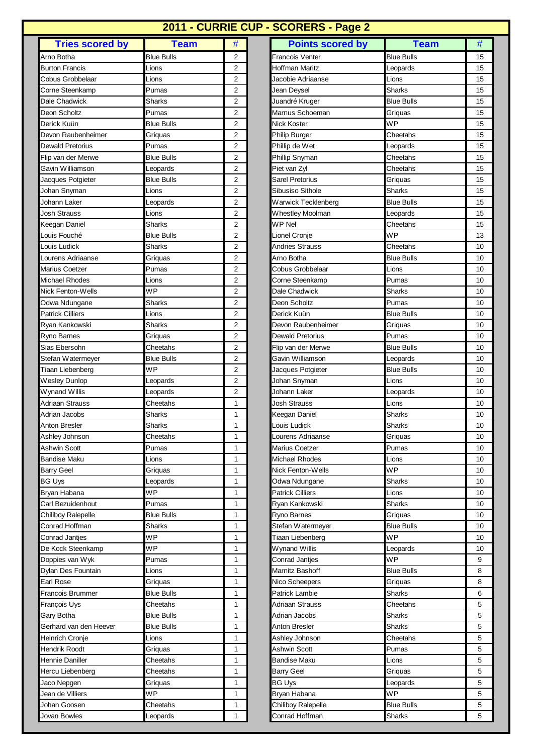## **2011 - CURRIE CUP - SCORERS - Page 2**

| Arno Botha<br>Blue Bulls<br>2<br><b>Burton Francis</b><br>2<br>Lions<br>Cobus Grobbelaar<br>Lions<br>2<br>2<br>Corne Steenkamp<br>Pumas<br>Dale Chadwick<br><b>Sharks</b><br>2<br>Deon Scholtz<br>2<br>Pumas<br>Derick Kuün<br>2<br><b>Blue Bulls</b><br>Devon Raubenheimer<br>2<br>Griquas<br>2<br>Dewald Pretorius<br>Pumas<br>2<br>Flip van der Merwe<br>Blue Bulls<br>Gavin Williamson<br>2<br>Leopards<br><b>Blue Bulls</b><br>2<br>Jacques Potgieter<br>2<br>Johan Snyman<br>Lions<br>Johann Laker<br>2<br>Leopards<br><b>Josh Strauss</b><br>Lions<br>2<br>Keegan Daniel<br>Sharks<br>2<br><b>Blue Bulls</b><br>Louis Fouché<br>2<br>Louis Ludick<br>Sharks<br>2<br>2<br>Lourens Adriaanse<br>Griquas<br>Marius Coetzer<br>Pumas<br>2<br>Michael Rhodes<br>2<br>Lions<br><b>WP</b><br>Nick Fenton-Wells<br>2<br>Sharks<br>2<br>Odwa Ndungane<br>Patrick Cilliers<br>$\overline{c}$<br>Lions<br>2<br>Ryan Kankowski<br>Sharks<br>Ryno Barnes<br>2<br>Griquas<br>Sias Ebersohn<br>Cheetahs<br>2<br>Stefan Watermeyer<br><b>Blue Bulls</b><br>2<br><b>WP</b><br>2<br>Tiaan Liebenberg<br>Leopards<br>2<br><b>Wesley Dunlop</b><br>Wynand Willis<br>Leopards<br>2<br>Adriaan Strauss<br>1<br>Cheetahs<br>Adrian Jacobs<br><b>Sharks</b><br>1<br>Sharks<br>1<br>Anton Bresler<br>Cheetahs<br>Ashley Johnson<br>1<br>1<br>Ashwin Scott<br>Pumas<br>1<br>Bandise Maku<br>Lions<br><b>Barry Geel</b><br>1<br>Griquas<br>1<br>BG Uys<br>Leopards<br>WP<br>1<br>Bryan Habana<br>Carl Bezuidenhout<br>1<br>Pumas<br><b>Blue Bulls</b><br>1<br><b>Chiliboy Ralepelle</b><br>Conrad Hoffman<br><b>Sharks</b><br>1<br>WP<br>1<br>Conrad Janties<br>De Kock Steenkamp<br>WP<br>1<br>1<br>Doppies van Wyk<br>Pumas<br>Dylan Des Fountain<br>Lions<br>1<br>Earl Rose<br>1<br>Griquas<br>1<br>Francois Brummer<br>Blue Bulls<br>François Uys<br>Cheetahs<br>1<br><b>Blue Bulls</b><br>Gary Botha<br>1<br>Gerhard van den Heever<br><b>Blue Bulls</b><br>1<br>Lions<br>Heinrich Cronje<br>1<br>Hendrik Roodt<br>1<br>Griquas<br>Hennie Daniller<br>1<br>Cheetahs<br>1<br>Hercu Liebenberg<br>Cheetahs<br>1<br>Jaco Nepgen<br>Griquas<br>WP<br>Jean de Villiers<br>1<br>Cheetahs<br>Johan Goosen<br>1<br>1 | <b>Tries scored by</b> | <b>Team</b> | # |
|-----------------------------------------------------------------------------------------------------------------------------------------------------------------------------------------------------------------------------------------------------------------------------------------------------------------------------------------------------------------------------------------------------------------------------------------------------------------------------------------------------------------------------------------------------------------------------------------------------------------------------------------------------------------------------------------------------------------------------------------------------------------------------------------------------------------------------------------------------------------------------------------------------------------------------------------------------------------------------------------------------------------------------------------------------------------------------------------------------------------------------------------------------------------------------------------------------------------------------------------------------------------------------------------------------------------------------------------------------------------------------------------------------------------------------------------------------------------------------------------------------------------------------------------------------------------------------------------------------------------------------------------------------------------------------------------------------------------------------------------------------------------------------------------------------------------------------------------------------------------------------------------------------------------------------------------------------------------------------------------------------------------------------------------------------------------------------------------------------------------------------------------------------------------------------------------------|------------------------|-------------|---|
|                                                                                                                                                                                                                                                                                                                                                                                                                                                                                                                                                                                                                                                                                                                                                                                                                                                                                                                                                                                                                                                                                                                                                                                                                                                                                                                                                                                                                                                                                                                                                                                                                                                                                                                                                                                                                                                                                                                                                                                                                                                                                                                                                                                               |                        |             |   |
|                                                                                                                                                                                                                                                                                                                                                                                                                                                                                                                                                                                                                                                                                                                                                                                                                                                                                                                                                                                                                                                                                                                                                                                                                                                                                                                                                                                                                                                                                                                                                                                                                                                                                                                                                                                                                                                                                                                                                                                                                                                                                                                                                                                               |                        |             |   |
|                                                                                                                                                                                                                                                                                                                                                                                                                                                                                                                                                                                                                                                                                                                                                                                                                                                                                                                                                                                                                                                                                                                                                                                                                                                                                                                                                                                                                                                                                                                                                                                                                                                                                                                                                                                                                                                                                                                                                                                                                                                                                                                                                                                               |                        |             |   |
|                                                                                                                                                                                                                                                                                                                                                                                                                                                                                                                                                                                                                                                                                                                                                                                                                                                                                                                                                                                                                                                                                                                                                                                                                                                                                                                                                                                                                                                                                                                                                                                                                                                                                                                                                                                                                                                                                                                                                                                                                                                                                                                                                                                               |                        |             |   |
|                                                                                                                                                                                                                                                                                                                                                                                                                                                                                                                                                                                                                                                                                                                                                                                                                                                                                                                                                                                                                                                                                                                                                                                                                                                                                                                                                                                                                                                                                                                                                                                                                                                                                                                                                                                                                                                                                                                                                                                                                                                                                                                                                                                               |                        |             |   |
|                                                                                                                                                                                                                                                                                                                                                                                                                                                                                                                                                                                                                                                                                                                                                                                                                                                                                                                                                                                                                                                                                                                                                                                                                                                                                                                                                                                                                                                                                                                                                                                                                                                                                                                                                                                                                                                                                                                                                                                                                                                                                                                                                                                               |                        |             |   |
|                                                                                                                                                                                                                                                                                                                                                                                                                                                                                                                                                                                                                                                                                                                                                                                                                                                                                                                                                                                                                                                                                                                                                                                                                                                                                                                                                                                                                                                                                                                                                                                                                                                                                                                                                                                                                                                                                                                                                                                                                                                                                                                                                                                               |                        |             |   |
|                                                                                                                                                                                                                                                                                                                                                                                                                                                                                                                                                                                                                                                                                                                                                                                                                                                                                                                                                                                                                                                                                                                                                                                                                                                                                                                                                                                                                                                                                                                                                                                                                                                                                                                                                                                                                                                                                                                                                                                                                                                                                                                                                                                               |                        |             |   |
|                                                                                                                                                                                                                                                                                                                                                                                                                                                                                                                                                                                                                                                                                                                                                                                                                                                                                                                                                                                                                                                                                                                                                                                                                                                                                                                                                                                                                                                                                                                                                                                                                                                                                                                                                                                                                                                                                                                                                                                                                                                                                                                                                                                               |                        |             |   |
|                                                                                                                                                                                                                                                                                                                                                                                                                                                                                                                                                                                                                                                                                                                                                                                                                                                                                                                                                                                                                                                                                                                                                                                                                                                                                                                                                                                                                                                                                                                                                                                                                                                                                                                                                                                                                                                                                                                                                                                                                                                                                                                                                                                               |                        |             |   |
|                                                                                                                                                                                                                                                                                                                                                                                                                                                                                                                                                                                                                                                                                                                                                                                                                                                                                                                                                                                                                                                                                                                                                                                                                                                                                                                                                                                                                                                                                                                                                                                                                                                                                                                                                                                                                                                                                                                                                                                                                                                                                                                                                                                               |                        |             |   |
|                                                                                                                                                                                                                                                                                                                                                                                                                                                                                                                                                                                                                                                                                                                                                                                                                                                                                                                                                                                                                                                                                                                                                                                                                                                                                                                                                                                                                                                                                                                                                                                                                                                                                                                                                                                                                                                                                                                                                                                                                                                                                                                                                                                               |                        |             |   |
|                                                                                                                                                                                                                                                                                                                                                                                                                                                                                                                                                                                                                                                                                                                                                                                                                                                                                                                                                                                                                                                                                                                                                                                                                                                                                                                                                                                                                                                                                                                                                                                                                                                                                                                                                                                                                                                                                                                                                                                                                                                                                                                                                                                               |                        |             |   |
|                                                                                                                                                                                                                                                                                                                                                                                                                                                                                                                                                                                                                                                                                                                                                                                                                                                                                                                                                                                                                                                                                                                                                                                                                                                                                                                                                                                                                                                                                                                                                                                                                                                                                                                                                                                                                                                                                                                                                                                                                                                                                                                                                                                               |                        |             |   |
|                                                                                                                                                                                                                                                                                                                                                                                                                                                                                                                                                                                                                                                                                                                                                                                                                                                                                                                                                                                                                                                                                                                                                                                                                                                                                                                                                                                                                                                                                                                                                                                                                                                                                                                                                                                                                                                                                                                                                                                                                                                                                                                                                                                               |                        |             |   |
|                                                                                                                                                                                                                                                                                                                                                                                                                                                                                                                                                                                                                                                                                                                                                                                                                                                                                                                                                                                                                                                                                                                                                                                                                                                                                                                                                                                                                                                                                                                                                                                                                                                                                                                                                                                                                                                                                                                                                                                                                                                                                                                                                                                               |                        |             |   |
|                                                                                                                                                                                                                                                                                                                                                                                                                                                                                                                                                                                                                                                                                                                                                                                                                                                                                                                                                                                                                                                                                                                                                                                                                                                                                                                                                                                                                                                                                                                                                                                                                                                                                                                                                                                                                                                                                                                                                                                                                                                                                                                                                                                               |                        |             |   |
|                                                                                                                                                                                                                                                                                                                                                                                                                                                                                                                                                                                                                                                                                                                                                                                                                                                                                                                                                                                                                                                                                                                                                                                                                                                                                                                                                                                                                                                                                                                                                                                                                                                                                                                                                                                                                                                                                                                                                                                                                                                                                                                                                                                               |                        |             |   |
|                                                                                                                                                                                                                                                                                                                                                                                                                                                                                                                                                                                                                                                                                                                                                                                                                                                                                                                                                                                                                                                                                                                                                                                                                                                                                                                                                                                                                                                                                                                                                                                                                                                                                                                                                                                                                                                                                                                                                                                                                                                                                                                                                                                               |                        |             |   |
|                                                                                                                                                                                                                                                                                                                                                                                                                                                                                                                                                                                                                                                                                                                                                                                                                                                                                                                                                                                                                                                                                                                                                                                                                                                                                                                                                                                                                                                                                                                                                                                                                                                                                                                                                                                                                                                                                                                                                                                                                                                                                                                                                                                               |                        |             |   |
|                                                                                                                                                                                                                                                                                                                                                                                                                                                                                                                                                                                                                                                                                                                                                                                                                                                                                                                                                                                                                                                                                                                                                                                                                                                                                                                                                                                                                                                                                                                                                                                                                                                                                                                                                                                                                                                                                                                                                                                                                                                                                                                                                                                               |                        |             |   |
|                                                                                                                                                                                                                                                                                                                                                                                                                                                                                                                                                                                                                                                                                                                                                                                                                                                                                                                                                                                                                                                                                                                                                                                                                                                                                                                                                                                                                                                                                                                                                                                                                                                                                                                                                                                                                                                                                                                                                                                                                                                                                                                                                                                               |                        |             |   |
|                                                                                                                                                                                                                                                                                                                                                                                                                                                                                                                                                                                                                                                                                                                                                                                                                                                                                                                                                                                                                                                                                                                                                                                                                                                                                                                                                                                                                                                                                                                                                                                                                                                                                                                                                                                                                                                                                                                                                                                                                                                                                                                                                                                               |                        |             |   |
|                                                                                                                                                                                                                                                                                                                                                                                                                                                                                                                                                                                                                                                                                                                                                                                                                                                                                                                                                                                                                                                                                                                                                                                                                                                                                                                                                                                                                                                                                                                                                                                                                                                                                                                                                                                                                                                                                                                                                                                                                                                                                                                                                                                               |                        |             |   |
|                                                                                                                                                                                                                                                                                                                                                                                                                                                                                                                                                                                                                                                                                                                                                                                                                                                                                                                                                                                                                                                                                                                                                                                                                                                                                                                                                                                                                                                                                                                                                                                                                                                                                                                                                                                                                                                                                                                                                                                                                                                                                                                                                                                               |                        |             |   |
|                                                                                                                                                                                                                                                                                                                                                                                                                                                                                                                                                                                                                                                                                                                                                                                                                                                                                                                                                                                                                                                                                                                                                                                                                                                                                                                                                                                                                                                                                                                                                                                                                                                                                                                                                                                                                                                                                                                                                                                                                                                                                                                                                                                               |                        |             |   |
|                                                                                                                                                                                                                                                                                                                                                                                                                                                                                                                                                                                                                                                                                                                                                                                                                                                                                                                                                                                                                                                                                                                                                                                                                                                                                                                                                                                                                                                                                                                                                                                                                                                                                                                                                                                                                                                                                                                                                                                                                                                                                                                                                                                               |                        |             |   |
|                                                                                                                                                                                                                                                                                                                                                                                                                                                                                                                                                                                                                                                                                                                                                                                                                                                                                                                                                                                                                                                                                                                                                                                                                                                                                                                                                                                                                                                                                                                                                                                                                                                                                                                                                                                                                                                                                                                                                                                                                                                                                                                                                                                               |                        |             |   |
|                                                                                                                                                                                                                                                                                                                                                                                                                                                                                                                                                                                                                                                                                                                                                                                                                                                                                                                                                                                                                                                                                                                                                                                                                                                                                                                                                                                                                                                                                                                                                                                                                                                                                                                                                                                                                                                                                                                                                                                                                                                                                                                                                                                               |                        |             |   |
|                                                                                                                                                                                                                                                                                                                                                                                                                                                                                                                                                                                                                                                                                                                                                                                                                                                                                                                                                                                                                                                                                                                                                                                                                                                                                                                                                                                                                                                                                                                                                                                                                                                                                                                                                                                                                                                                                                                                                                                                                                                                                                                                                                                               |                        |             |   |
|                                                                                                                                                                                                                                                                                                                                                                                                                                                                                                                                                                                                                                                                                                                                                                                                                                                                                                                                                                                                                                                                                                                                                                                                                                                                                                                                                                                                                                                                                                                                                                                                                                                                                                                                                                                                                                                                                                                                                                                                                                                                                                                                                                                               |                        |             |   |
|                                                                                                                                                                                                                                                                                                                                                                                                                                                                                                                                                                                                                                                                                                                                                                                                                                                                                                                                                                                                                                                                                                                                                                                                                                                                                                                                                                                                                                                                                                                                                                                                                                                                                                                                                                                                                                                                                                                                                                                                                                                                                                                                                                                               |                        |             |   |
|                                                                                                                                                                                                                                                                                                                                                                                                                                                                                                                                                                                                                                                                                                                                                                                                                                                                                                                                                                                                                                                                                                                                                                                                                                                                                                                                                                                                                                                                                                                                                                                                                                                                                                                                                                                                                                                                                                                                                                                                                                                                                                                                                                                               |                        |             |   |
|                                                                                                                                                                                                                                                                                                                                                                                                                                                                                                                                                                                                                                                                                                                                                                                                                                                                                                                                                                                                                                                                                                                                                                                                                                                                                                                                                                                                                                                                                                                                                                                                                                                                                                                                                                                                                                                                                                                                                                                                                                                                                                                                                                                               |                        |             |   |
|                                                                                                                                                                                                                                                                                                                                                                                                                                                                                                                                                                                                                                                                                                                                                                                                                                                                                                                                                                                                                                                                                                                                                                                                                                                                                                                                                                                                                                                                                                                                                                                                                                                                                                                                                                                                                                                                                                                                                                                                                                                                                                                                                                                               |                        |             |   |
|                                                                                                                                                                                                                                                                                                                                                                                                                                                                                                                                                                                                                                                                                                                                                                                                                                                                                                                                                                                                                                                                                                                                                                                                                                                                                                                                                                                                                                                                                                                                                                                                                                                                                                                                                                                                                                                                                                                                                                                                                                                                                                                                                                                               |                        |             |   |
|                                                                                                                                                                                                                                                                                                                                                                                                                                                                                                                                                                                                                                                                                                                                                                                                                                                                                                                                                                                                                                                                                                                                                                                                                                                                                                                                                                                                                                                                                                                                                                                                                                                                                                                                                                                                                                                                                                                                                                                                                                                                                                                                                                                               |                        |             |   |
|                                                                                                                                                                                                                                                                                                                                                                                                                                                                                                                                                                                                                                                                                                                                                                                                                                                                                                                                                                                                                                                                                                                                                                                                                                                                                                                                                                                                                                                                                                                                                                                                                                                                                                                                                                                                                                                                                                                                                                                                                                                                                                                                                                                               |                        |             |   |
|                                                                                                                                                                                                                                                                                                                                                                                                                                                                                                                                                                                                                                                                                                                                                                                                                                                                                                                                                                                                                                                                                                                                                                                                                                                                                                                                                                                                                                                                                                                                                                                                                                                                                                                                                                                                                                                                                                                                                                                                                                                                                                                                                                                               |                        |             |   |
|                                                                                                                                                                                                                                                                                                                                                                                                                                                                                                                                                                                                                                                                                                                                                                                                                                                                                                                                                                                                                                                                                                                                                                                                                                                                                                                                                                                                                                                                                                                                                                                                                                                                                                                                                                                                                                                                                                                                                                                                                                                                                                                                                                                               |                        |             |   |
|                                                                                                                                                                                                                                                                                                                                                                                                                                                                                                                                                                                                                                                                                                                                                                                                                                                                                                                                                                                                                                                                                                                                                                                                                                                                                                                                                                                                                                                                                                                                                                                                                                                                                                                                                                                                                                                                                                                                                                                                                                                                                                                                                                                               |                        |             |   |
|                                                                                                                                                                                                                                                                                                                                                                                                                                                                                                                                                                                                                                                                                                                                                                                                                                                                                                                                                                                                                                                                                                                                                                                                                                                                                                                                                                                                                                                                                                                                                                                                                                                                                                                                                                                                                                                                                                                                                                                                                                                                                                                                                                                               |                        |             |   |
|                                                                                                                                                                                                                                                                                                                                                                                                                                                                                                                                                                                                                                                                                                                                                                                                                                                                                                                                                                                                                                                                                                                                                                                                                                                                                                                                                                                                                                                                                                                                                                                                                                                                                                                                                                                                                                                                                                                                                                                                                                                                                                                                                                                               |                        |             |   |
|                                                                                                                                                                                                                                                                                                                                                                                                                                                                                                                                                                                                                                                                                                                                                                                                                                                                                                                                                                                                                                                                                                                                                                                                                                                                                                                                                                                                                                                                                                                                                                                                                                                                                                                                                                                                                                                                                                                                                                                                                                                                                                                                                                                               |                        |             |   |
|                                                                                                                                                                                                                                                                                                                                                                                                                                                                                                                                                                                                                                                                                                                                                                                                                                                                                                                                                                                                                                                                                                                                                                                                                                                                                                                                                                                                                                                                                                                                                                                                                                                                                                                                                                                                                                                                                                                                                                                                                                                                                                                                                                                               |                        |             |   |
|                                                                                                                                                                                                                                                                                                                                                                                                                                                                                                                                                                                                                                                                                                                                                                                                                                                                                                                                                                                                                                                                                                                                                                                                                                                                                                                                                                                                                                                                                                                                                                                                                                                                                                                                                                                                                                                                                                                                                                                                                                                                                                                                                                                               |                        |             |   |
|                                                                                                                                                                                                                                                                                                                                                                                                                                                                                                                                                                                                                                                                                                                                                                                                                                                                                                                                                                                                                                                                                                                                                                                                                                                                                                                                                                                                                                                                                                                                                                                                                                                                                                                                                                                                                                                                                                                                                                                                                                                                                                                                                                                               |                        |             |   |
|                                                                                                                                                                                                                                                                                                                                                                                                                                                                                                                                                                                                                                                                                                                                                                                                                                                                                                                                                                                                                                                                                                                                                                                                                                                                                                                                                                                                                                                                                                                                                                                                                                                                                                                                                                                                                                                                                                                                                                                                                                                                                                                                                                                               |                        |             |   |
|                                                                                                                                                                                                                                                                                                                                                                                                                                                                                                                                                                                                                                                                                                                                                                                                                                                                                                                                                                                                                                                                                                                                                                                                                                                                                                                                                                                                                                                                                                                                                                                                                                                                                                                                                                                                                                                                                                                                                                                                                                                                                                                                                                                               |                        |             |   |
|                                                                                                                                                                                                                                                                                                                                                                                                                                                                                                                                                                                                                                                                                                                                                                                                                                                                                                                                                                                                                                                                                                                                                                                                                                                                                                                                                                                                                                                                                                                                                                                                                                                                                                                                                                                                                                                                                                                                                                                                                                                                                                                                                                                               |                        |             |   |
|                                                                                                                                                                                                                                                                                                                                                                                                                                                                                                                                                                                                                                                                                                                                                                                                                                                                                                                                                                                                                                                                                                                                                                                                                                                                                                                                                                                                                                                                                                                                                                                                                                                                                                                                                                                                                                                                                                                                                                                                                                                                                                                                                                                               |                        |             |   |
|                                                                                                                                                                                                                                                                                                                                                                                                                                                                                                                                                                                                                                                                                                                                                                                                                                                                                                                                                                                                                                                                                                                                                                                                                                                                                                                                                                                                                                                                                                                                                                                                                                                                                                                                                                                                                                                                                                                                                                                                                                                                                                                                                                                               |                        |             |   |
|                                                                                                                                                                                                                                                                                                                                                                                                                                                                                                                                                                                                                                                                                                                                                                                                                                                                                                                                                                                                                                                                                                                                                                                                                                                                                                                                                                                                                                                                                                                                                                                                                                                                                                                                                                                                                                                                                                                                                                                                                                                                                                                                                                                               |                        |             |   |
|                                                                                                                                                                                                                                                                                                                                                                                                                                                                                                                                                                                                                                                                                                                                                                                                                                                                                                                                                                                                                                                                                                                                                                                                                                                                                                                                                                                                                                                                                                                                                                                                                                                                                                                                                                                                                                                                                                                                                                                                                                                                                                                                                                                               |                        |             |   |
|                                                                                                                                                                                                                                                                                                                                                                                                                                                                                                                                                                                                                                                                                                                                                                                                                                                                                                                                                                                                                                                                                                                                                                                                                                                                                                                                                                                                                                                                                                                                                                                                                                                                                                                                                                                                                                                                                                                                                                                                                                                                                                                                                                                               |                        |             |   |
|                                                                                                                                                                                                                                                                                                                                                                                                                                                                                                                                                                                                                                                                                                                                                                                                                                                                                                                                                                                                                                                                                                                                                                                                                                                                                                                                                                                                                                                                                                                                                                                                                                                                                                                                                                                                                                                                                                                                                                                                                                                                                                                                                                                               |                        |             |   |
|                                                                                                                                                                                                                                                                                                                                                                                                                                                                                                                                                                                                                                                                                                                                                                                                                                                                                                                                                                                                                                                                                                                                                                                                                                                                                                                                                                                                                                                                                                                                                                                                                                                                                                                                                                                                                                                                                                                                                                                                                                                                                                                                                                                               |                        |             |   |
|                                                                                                                                                                                                                                                                                                                                                                                                                                                                                                                                                                                                                                                                                                                                                                                                                                                                                                                                                                                                                                                                                                                                                                                                                                                                                                                                                                                                                                                                                                                                                                                                                                                                                                                                                                                                                                                                                                                                                                                                                                                                                                                                                                                               |                        |             |   |
|                                                                                                                                                                                                                                                                                                                                                                                                                                                                                                                                                                                                                                                                                                                                                                                                                                                                                                                                                                                                                                                                                                                                                                                                                                                                                                                                                                                                                                                                                                                                                                                                                                                                                                                                                                                                                                                                                                                                                                                                                                                                                                                                                                                               | Jovan Bowles           | Leopards    |   |

| <b>Tries scored by</b>    | <b>Team</b>         | $\#$           | <b>Points scored by</b> | <b>Team</b>       | $\#$ |
|---------------------------|---------------------|----------------|-------------------------|-------------------|------|
| Arno Botha                | <b>Blue Bulls</b>   | 2              | <b>Francois Venter</b>  | <b>Blue Bulls</b> | 15   |
| <b>Burton Francis</b>     | Lions               | $\overline{2}$ | Hoffman Maritz          | Leopards          | 15   |
| Cobus Grobbelaar          | Lions               | 2              | Jacobie Adriaanse       | Lions             | 15   |
| Corne Steenkamp           | Pumas               | 2              | Jean Deysel             | Sharks            | 15   |
| Dale Chadwick             | Sharks              | $\overline{2}$ | Juandré Kruger          | <b>Blue Bulls</b> | 15   |
| Deon Scholtz              | Pumas               | 2              | Marnus Schoeman         | Griquas           | 15   |
| Derick Kuün               | Blue Bulls          | 2              | Nick Koster             | WP                | 15   |
| Devon Raubenheimer        | Griquas             | $\overline{2}$ | <b>Philip Burger</b>    | Cheetahs          | 15   |
| <b>Dewald Pretorius</b>   | Pumas               | 2              | Phillip de Wet          | Leopards          | 15   |
| Flip van der Merwe        | <b>Blue Bulls</b>   | $\overline{2}$ | Phillip Snyman          | Cheetahs          | 15   |
| Gavin Williamson          | Leopards            | 2              | Piet van Zyl            | Cheetahs          | 15   |
| Jacques Potgieter         | Blue Bulls          | $\overline{2}$ | Sarel Pretorius         | Griquas           | 15   |
| Johan Snyman              | Lions               | 2              | Sibusiso Sithole        | Sharks            | 15   |
| Johann Laker              | Leopards            | 2              | Warwick Tecklenberg     | <b>Blue Bulls</b> | 15   |
| Josh Strauss              | Lions               | 2              | <b>Whestley Moolman</b> | Leopards          | 15   |
| Keegan Daniel             | Sharks              | $\overline{2}$ | WP Nel                  | Cheetahs          | 15   |
| Louis Fouché              | <b>Blue Bulls</b>   | $\overline{2}$ | Lionel Cronje           | WP                | 13   |
| Louis Ludick              | Sharks              | 2              | <b>Andries Strauss</b>  | Cheetahs          | 10   |
| Lourens Adriaanse         | Griquas             | 2              | Arno Botha              | <b>Blue Bulls</b> | 10   |
| <b>Marius Coetzer</b>     | Pumas               | 2              | Cobus Grobbelaar        | Lions             | 10   |
| <b>Michael Rhodes</b>     | Lions               | 2              | Corne Steenkamp         | Pumas             | 10   |
| <b>Nick Fenton-Wells</b>  | <b>WP</b>           | 2              | Dale Chadwick           | <b>Sharks</b>     | 10   |
| Odwa Ndungane             | <b>Sharks</b>       | 2              | Deon Scholtz            | Pumas             | 10   |
| <b>Patrick Cilliers</b>   | Lions               | 2              | Derick Kuün             | <b>Blue Bulls</b> | 10   |
| Ryan Kankowski            | <b>Sharks</b>       | $\overline{2}$ | Devon Raubenheimer      |                   | 10   |
|                           |                     | 2              | Dewald Pretorius        | Griquas<br>Pumas  | 10   |
| Ryno Barnes               | Griquas<br>Cheetahs | $\overline{2}$ |                         |                   |      |
| Sias Ebersohn             |                     |                | Flip van der Merwe      | <b>Blue Bulls</b> | 10   |
| Stefan Watermeyer         | Blue Bulls          | $\overline{2}$ | Gavin Williamson        | Leopards          | 10   |
| Tiaan Liebenberg          | WP                  | 2              | Jacques Potgieter       | <b>Blue Bulls</b> | 10   |
| Wesley Dunlop             | _eopards            | 2              | Johan Snyman            | Lions             | 10   |
| Wynand Willis             | Leopards            | 2              | Johann Laker            | _eopards          | 10   |
| Adriaan Strauss           | Cheetahs            | 1              | <b>Josh Strauss</b>     | Lions             | 10   |
| Adrian Jacobs             | <b>Sharks</b>       | 1              | Keegan Daniel           | <b>Sharks</b>     | 10   |
| Anton Bresler             | Sharks              | 1              | Louis Ludick            | Sharks            | 10   |
| Ashley Johnson            | Cheetahs            | 1              | ourens Adriaanse        | Griquas           | $10$ |
| Ashwin Scott              | Pumas               | 1              | Marius Coetzer          | Pumas             | 10   |
| <b>Bandise Maku</b>       | Lions               | 1              | Michael Rhodes          | Lions             | 10   |
| <b>Barry Geel</b>         | Griquas             | $\mathbf{1}$   | Nick Fenton-Wells       | <b>WP</b>         | 10   |
| <b>BG Uys</b>             | Leopards            | 1              | Odwa Ndungane           | <b>Sharks</b>     | 10   |
| Bryan Habana              | WP                  | 1              | <b>Patrick Cilliers</b> | Lions             | 10   |
| Carl Bezuidenhout         | Pumas               | 1              | Ryan Kankowski          | Sharks            | 10   |
| <b>Chiliboy Ralepelle</b> | Blue Bulls          | 1              | Ryno Barnes             | Griquas           | 10   |
| Conrad Hoffman            | Sharks              | 1              | Stefan Watermeyer       | <b>Blue Bulls</b> | 10   |
| <b>Conrad Janties</b>     | WP                  | 1              | Tiaan Liebenberg        | WP                | 10   |
| De Kock Steenkamp         | WP                  | 1              | Wynand Willis           | Leopards          | 10   |
| Doppies van Wyk           | Pumas               | $\mathbf{1}$   | <b>Conrad Jantjes</b>   | <b>WP</b>         | 9    |
| Dylan Des Fountain        | Lions               | 1              | Marnitz Bashoff         | <b>Blue Bulls</b> | 8    |
| Earl Rose                 | Griquas             | 1              | Nico Scheepers          | Griquas           | 8    |
| <b>Francois Brummer</b>   | Blue Bulls          | $\mathbf{1}$   | Patrick Lambie          | Sharks            | 6    |
| François Uys              | Cheetahs            | 1              | Adriaan Strauss         | Cheetahs          | 5    |
| Gary Botha                | <b>Blue Bulls</b>   | 1              | Adrian Jacobs           | Sharks            | 5    |
| Gerhard van den Heever    | <b>Blue Bulls</b>   | 1              | Anton Bresler           | Sharks            | 5    |
| Heinrich Cronje           | Lions               | 1              | Ashley Johnson          | Cheetahs          | 5    |
| <b>Hendrik Roodt</b>      | Griquas             | 1              | Ashwin Scott            | Pumas             | 5    |
| Hennie Daniller           | Cheetahs            | 1              | Bandise Maku            | ∟ions             | 5    |
| Hercu Liebenberg          | Cheetahs            | 1              | <b>Barry Geel</b>       | Griquas           | 5    |
| Jaco Nepgen               | Griquas             | 1              | <b>BG Uys</b>           | Leopards          | 5    |
| Jean de Villiers          | WP                  | 1              | Bryan Habana            | WP                | 5    |
| Johan Goosen              | Cheetahs            | 1              | Chiliboy Ralepelle      | <b>Blue Bulls</b> | 5    |
| Jovan Bowles              | Leopards            | 1              | Conrad Hoffman          | Sharks            | 5    |
|                           |                     |                |                         |                   |      |